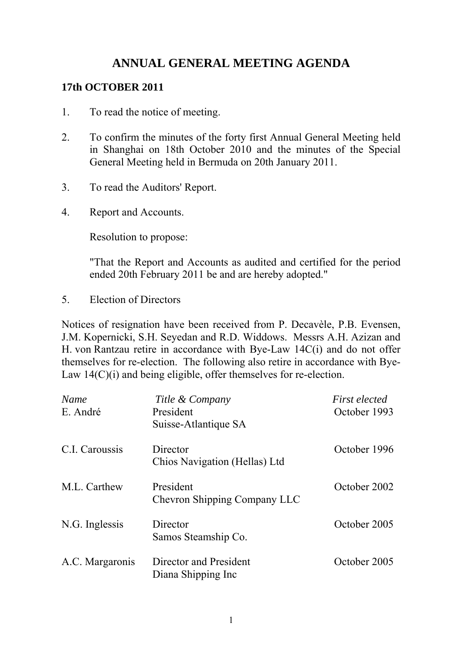# **ANNUAL GENERAL MEETING AGENDA**

#### **17th OCTOBER 2011**

- 1. To read the notice of meeting.
- 2. To confirm the minutes of the forty first Annual General Meeting held in Shanghai on 18th October 2010 and the minutes of the Special General Meeting held in Bermuda on 20th January 2011.
- 3. To read the Auditors' Report.
- 4. Report and Accounts.

Resolution to propose:

"That the Report and Accounts as audited and certified for the period ended 20th February 2011 be and are hereby adopted."

5. Election of Directors

Notices of resignation have been received from P. Decavèle, P.B. Evensen, J.M. Kopernicki, S.H. Seyedan and R.D. Widdows. Messrs A.H. Azizan and H. von Rantzau retire in accordance with Bye-Law 14C(i) and do not offer themselves for re-election. The following also retire in accordance with Bye-Law 14(C)(i) and being eligible, offer themselves for re-election.

| Name<br>E. André | Title & Company<br>President<br>Suisse-Atlantique SA | <b>First elected</b><br>October 1993 |
|------------------|------------------------------------------------------|--------------------------------------|
| C.I. Caroussis   | Director<br>Chios Navigation (Hellas) Ltd            | October 1996                         |
| M.L. Carthew     | President<br>Chevron Shipping Company LLC            | October 2002                         |
| N.G. Inglessis   | Director<br>Samos Steamship Co.                      | October 2005                         |
| A.C. Margaronis  | Director and President<br>Diana Shipping Inc         | October 2005                         |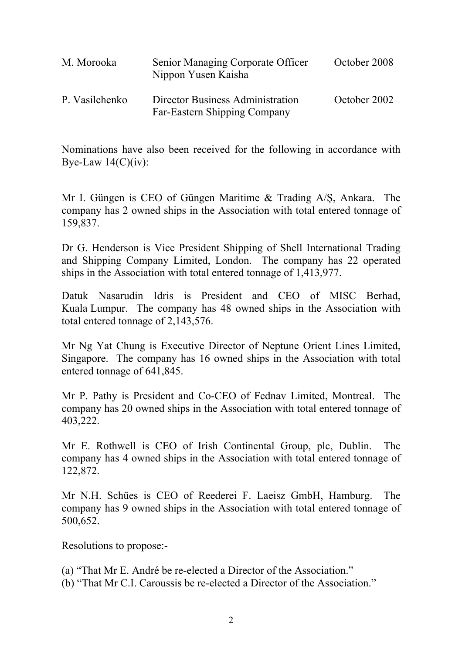| M. Morooka     | Senior Managing Corporate Officer<br>Nippon Yusen Kaisha         | October 2008 |
|----------------|------------------------------------------------------------------|--------------|
| P. Vasilchenko | Director Business Administration<br>Far-Eastern Shipping Company | October 2002 |

Nominations have also been received for the following in accordance with Bye-Law  $14(C)(iv)$ :

Mr I. Güngen is CEO of Güngen Maritime & Trading A/Ş, Ankara. The company has 2 owned ships in the Association with total entered tonnage of 159,837.

Dr G. Henderson is Vice President Shipping of Shell International Trading and Shipping Company Limited, London. The company has 22 operated ships in the Association with total entered tonnage of 1,413,977.

Datuk Nasarudin Idris is President and CEO of MISC Berhad, Kuala Lumpur. The company has 48 owned ships in the Association with total entered tonnage of 2,143,576.

Mr Ng Yat Chung is Executive Director of Neptune Orient Lines Limited, Singapore. The company has 16 owned ships in the Association with total entered tonnage of 641,845.

Mr P. Pathy is President and Co-CEO of Fednav Limited, Montreal. The company has 20 owned ships in the Association with total entered tonnage of 403,222.

Mr E. Rothwell is CEO of Irish Continental Group, plc, Dublin. The company has 4 owned ships in the Association with total entered tonnage of 122,872.

Mr N.H. Schües is CEO of Reederei F. Laeisz GmbH, Hamburg. The company has 9 owned ships in the Association with total entered tonnage of 500,652.

Resolutions to propose:-

- (a) "That Mr E. André be re-elected a Director of the Association."
- (b) "That Mr C.I. Caroussis be re-elected a Director of the Association."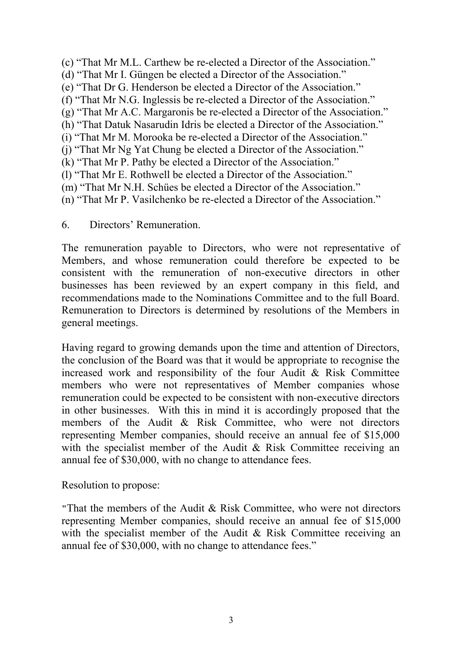- (c) "That Mr M.L. Carthew be re-elected a Director of the Association." (d) "That Mr I. Güngen be elected a Director of the Association." (e) "That Dr G. Henderson be elected a Director of the Association." (f) "That Mr N.G. Inglessis be re-elected a Director of the Association." (g) "That Mr A.C. Margaronis be re-elected a Director of the Association." (h) "That Datuk Nasarudin Idris be elected a Director of the Association." (i) "That Mr M. Morooka be re-elected a Director of the Association." (j) "That Mr Ng Yat Chung be elected a Director of the Association." (k) "That Mr P. Pathy be elected a Director of the Association." (l) "That Mr E. Rothwell be elected a Director of the Association." (m) "That Mr N.H. Schües be elected a Director of the Association." (n) "That Mr P. Vasilchenko be re-elected a Director of the Association."
- 6. Directors' Remuneration.

The remuneration payable to Directors, who were not representative of Members, and whose remuneration could therefore be expected to be consistent with the remuneration of non-executive directors in other businesses has been reviewed by an expert company in this field, and recommendations made to the Nominations Committee and to the full Board. Remuneration to Directors is determined by resolutions of the Members in general meetings.

Having regard to growing demands upon the time and attention of Directors, the conclusion of the Board was that it would be appropriate to recognise the increased work and responsibility of the four Audit & Risk Committee members who were not representatives of Member companies whose remuneration could be expected to be consistent with non-executive directors in other businesses. With this in mind it is accordingly proposed that the members of the Audit & Risk Committee, who were not directors representing Member companies, should receive an annual fee of \$15,000 with the specialist member of the Audit & Risk Committee receiving an annual fee of \$30,000, with no change to attendance fees.

Resolution to propose:

**"**That the members of the Audit & Risk Committee, who were not directors representing Member companies, should receive an annual fee of \$15,000 with the specialist member of the Audit & Risk Committee receiving an annual fee of \$30,000, with no change to attendance fees."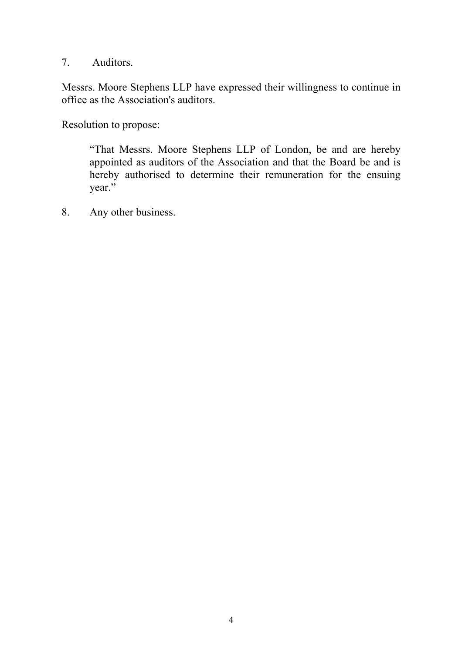7. Auditors.

Messrs. Moore Stephens LLP have expressed their willingness to continue in office as the Association's auditors.

Resolution to propose:

 "That Messrs. Moore Stephens LLP of London, be and are hereby appointed as auditors of the Association and that the Board be and is hereby authorised to determine their remuneration for the ensuing year."

8. Any other business.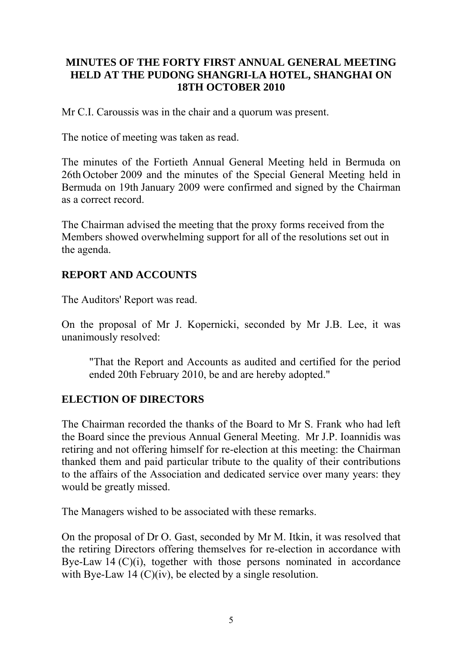### **MINUTES OF THE FORTY FIRST ANNUAL GENERAL MEETING HELD AT THE PUDONG SHANGRI-LA HOTEL, SHANGHAI ON 18TH OCTOBER 2010**

Mr C.I. Caroussis was in the chair and a quorum was present.

The notice of meeting was taken as read.

The minutes of the Fortieth Annual General Meeting held in Bermuda on 26th October 2009 and the minutes of the Special General Meeting held in Bermuda on 19th January 2009 were confirmed and signed by the Chairman as a correct record.

The Chairman advised the meeting that the proxy forms received from the Members showed overwhelming support for all of the resolutions set out in the agenda.

### **REPORT AND ACCOUNTS**

The Auditors' Report was read.

On the proposal of Mr J. Kopernicki, seconded by Mr J.B. Lee, it was unanimously resolved:

 "That the Report and Accounts as audited and certified for the period ended 20th February 2010, be and are hereby adopted."

## **ELECTION OF DIRECTORS**

The Chairman recorded the thanks of the Board to Mr S. Frank who had left the Board since the previous Annual General Meeting. Mr J.P. Ioannidis was retiring and not offering himself for re-election at this meeting: the Chairman thanked them and paid particular tribute to the quality of their contributions to the affairs of the Association and dedicated service over many years: they would be greatly missed.

The Managers wished to be associated with these remarks.

On the proposal of Dr O. Gast, seconded by Mr M. Itkin, it was resolved that the retiring Directors offering themselves for re-election in accordance with Bye-Law 14  $(C)(i)$ , together with those persons nominated in accordance with Bye-Law 14 (C)(iv), be elected by a single resolution.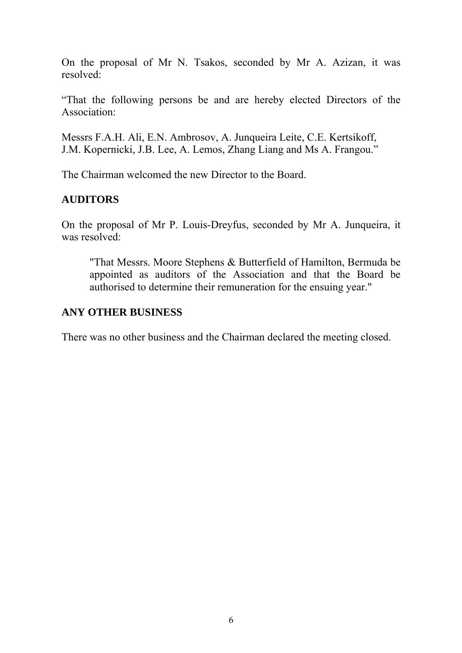On the proposal of Mr N. Tsakos, seconded by Mr A. Azizan, it was resolved:

"That the following persons be and are hereby elected Directors of the Association:

Messrs F.A.H. Ali, E.N. Ambrosov, A. Junqueira Leite, C.E. Kertsikoff, J.M. Kopernicki, J.B. Lee, A. Lemos, Zhang Liang and Ms A. Frangou."

The Chairman welcomed the new Director to the Board.

### **AUDITORS**

On the proposal of Mr P. Louis-Dreyfus, seconded by Mr A. Junqueira, it was resolved:

"That Messrs. Moore Stephens & Butterfield of Hamilton, Bermuda be appointed as auditors of the Association and that the Board be authorised to determine their remuneration for the ensuing year."

#### **ANY OTHER BUSINESS**

There was no other business and the Chairman declared the meeting closed.